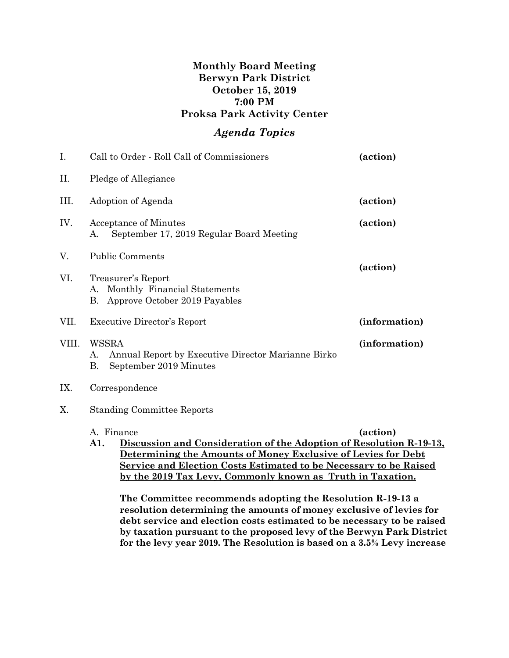## **Monthly Board Meeting Berwyn Park District October 15, 2019 7:00 PM Proksa Park Activity Center**

## *Agenda Topics*

| I.    | Call to Order - Roll Call of Commissioners                                                        | (action)      |
|-------|---------------------------------------------------------------------------------------------------|---------------|
| П.    | Pledge of Allegiance                                                                              |               |
| III.  | Adoption of Agenda                                                                                | (action)      |
| IV.   | Acceptance of Minutes<br>September 17, 2019 Regular Board Meeting<br>А.                           | (action)      |
| V.    | <b>Public Comments</b>                                                                            |               |
| VI.   | Treasurer's Report<br>Monthly Financial Statements<br>А.<br>Approve October 2019 Payables<br>В.   | (action)      |
| VII.  | <b>Executive Director's Report</b>                                                                | (information) |
| VIII. | WSSRA<br>Annual Report by Executive Director Marianne Birko<br>A.<br>В.<br>September 2019 Minutes | (information) |
| IX.   | Correspondence                                                                                    |               |

X. Standing Committee Reports

## A. Finance **(action) A1. Discussion and Consideration of the Adoption of Resolution R-19-13, Determining the Amounts of Money Exclusive of Levies for Debt Service and Election Costs Estimated to be Necessary to be Raised by the 2019 Tax Levy, Commonly known as Truth in Taxation.**

**The Committee recommends adopting the Resolution R-19-13 a resolution determining the amounts of money exclusive of levies for debt service and election costs estimated to be necessary to be raised by taxation pursuant to the proposed levy of the Berwyn Park District for the levy year 2019. The Resolution is based on a 3.5% Levy increase**